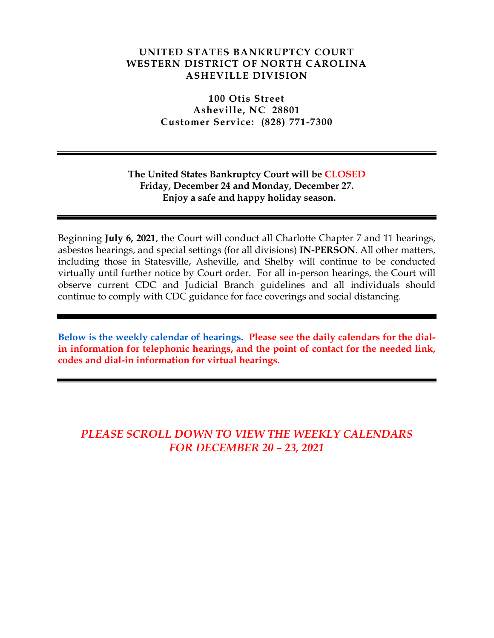#### **UNITED STATES BANKRUPTCY COURT WESTERN DISTRICT OF NORTH CAROLINA ASHEVILLE DIVISION**

**100 Otis Street Asheville, NC 28801 Customer Service: (828) 771-7300**

## **The United States Bankruptcy Court will be CLOSED Friday, December 24 and Monday, December 27. Enjoy a safe and happy holiday season.**

Beginning **July 6, 2021**, the Court will conduct all Charlotte Chapter 7 and 11 hearings, asbestos hearings, and special settings (for all divisions) **IN-PERSON**. All other matters, including those in Statesville, Asheville, and Shelby will continue to be conducted virtually until further notice by Court order. For all in-person hearings, the Court will observe current CDC and Judicial Branch guidelines and all individuals should continue to comply with CDC guidance for face coverings and social distancing.

**Below is the weekly calendar of hearings. Please see the daily calendars for the dialin information for telephonic hearings, and the point of contact for the needed link, codes and dial-in information for virtual hearings.**

# *PLEASE SCROLL DOWN TO VIEW THE WEEKLY CALENDARS FOR DECEMBER 20 – 23, 2021*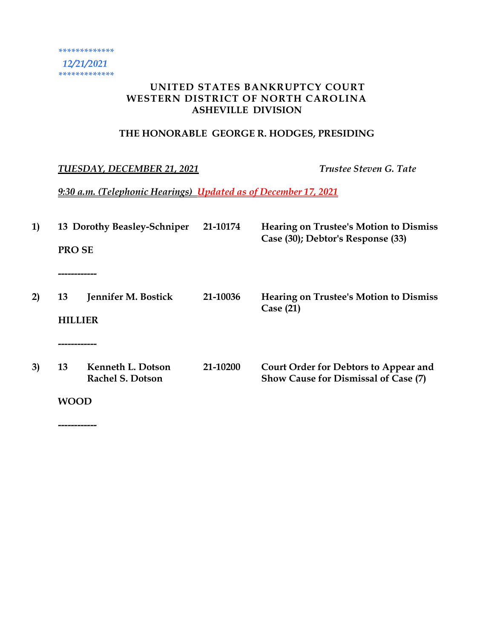# **UNITED STATES BANKRUPTCY COURT WESTERN DISTRICT OF NORTH CAROLINA ASHEVILLE DIVISION**

# **THE HONORABLE GEORGE R. HODGES, PRESIDING**

# *TUESDAY, DECEMBER 21, 2021 Trustee Steven G. Tate*

*9:30 a.m. (Telephonic Hearings) Updated as of December 17, 2021*

| 1) | <b>PROSE</b><br>-------- | 13 Dorothy Beasley-Schniper                  | 21-10174 | <b>Hearing on Trustee's Motion to Dismiss</b><br>Case (30); Debtor's Response (33)   |
|----|--------------------------|----------------------------------------------|----------|--------------------------------------------------------------------------------------|
| 2) | 13<br>HILLIFR            | Jennifer M. Bostick                          | 21-10036 | <b>Hearing on Trustee's Motion to Dismiss</b><br>Case (21)                           |
|    | ---------                |                                              |          |                                                                                      |
| 3) | 13                       | Kenneth L. Dotson<br><b>Rachel S. Dotson</b> | 21-10200 | Court Order for Debtors to Appear and<br><b>Show Cause for Dismissal of Case (7)</b> |
|    | WOOD                     |                                              |          |                                                                                      |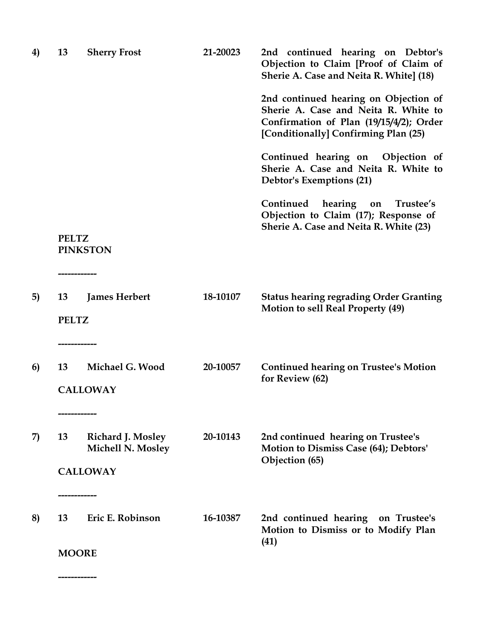| 4) | 13                 | <b>Sherry Frost</b>                    | 21-20023 | 2nd continued hearing on Debtor's<br>Objection to Claim [Proof of Claim of<br>Sherie A. Case and Neita R. White] (18)                                            |
|----|--------------------|----------------------------------------|----------|------------------------------------------------------------------------------------------------------------------------------------------------------------------|
|    |                    |                                        |          | 2nd continued hearing on Objection of<br>Sherie A. Case and Neita R. White to<br>Confirmation of Plan (19/15/4/2); Order<br>[Conditionally] Confirming Plan (25) |
|    |                    |                                        |          | Continued hearing on Objection of<br>Sherie A. Case and Neita R. White to<br>Debtor's Exemptions (21)                                                            |
|    |                    |                                        |          | Continued<br>hearing<br>Trustee's<br>on<br>Objection to Claim (17); Response of<br>Sherie A. Case and Neita R. White (23)                                        |
|    | <b>PELTZ</b>       | <b>PINKSTON</b>                        |          |                                                                                                                                                                  |
| 5) | 13<br><b>PELTZ</b> | <b>James Herbert</b>                   | 18-10107 | <b>Status hearing regrading Order Granting</b><br><b>Motion to sell Real Property (49)</b>                                                                       |
|    |                    | --------------                         |          |                                                                                                                                                                  |
| 6) | 13                 | Michael G. Wood                        | 20-10057 | <b>Continued hearing on Trustee's Motion</b><br>for Review (62)                                                                                                  |
|    |                    | <b>CALLOWAY</b>                        |          |                                                                                                                                                                  |
|    |                    |                                        |          |                                                                                                                                                                  |
| 7) | 13                 | Richard J. Mosley<br>Michell N. Mosley | 20-10143 | 2nd continued hearing on Trustee's<br>Motion to Dismiss Case (64); Debtors'<br>Objection (65)                                                                    |
|    |                    | <b>CALLOWAY</b>                        |          |                                                                                                                                                                  |
|    |                    |                                        |          |                                                                                                                                                                  |
| 8) | 13                 | Eric E. Robinson                       | 16-10387 | 2nd continued hearing<br>on Trustee's<br>Motion to Dismiss or to Modify Plan                                                                                     |
|    | <b>MOORE</b>       |                                        |          | (41)                                                                                                                                                             |
|    |                    |                                        |          |                                                                                                                                                                  |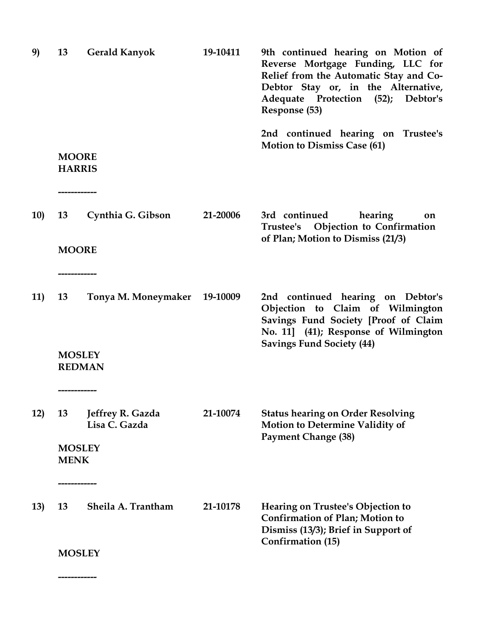| 9)  | 13                                              | <b>Gerald Kanyok</b>              | 19-10411 | 9th continued hearing on Motion of<br>Reverse Mortgage Funding, LLC for<br>Relief from the Automatic Stay and Co-<br>Debtor Stay or, in the Alternative,<br>Adequate Protection (52); Debtor's<br>Response (53) |
|-----|-------------------------------------------------|-----------------------------------|----------|-----------------------------------------------------------------------------------------------------------------------------------------------------------------------------------------------------------------|
|     | <b>MOORE</b><br><b>HARRIS</b><br>-------------- |                                   |          | 2nd continued hearing on Trustee's<br><b>Motion to Dismiss Case (61)</b>                                                                                                                                        |
| 10) | 13<br><b>MOORE</b>                              | Cynthia G. Gibson                 | 21-20006 | 3rd continued<br>hearing<br>on<br>Trustee's Objection to Confirmation<br>of Plan; Motion to Dismiss (21/3)                                                                                                      |
| 11) | 13<br><b>MOSLEY</b><br><b>REDMAN</b>            | Tonya M. Moneymaker               | 19-10009 | 2nd continued hearing on Debtor's<br>Objection to Claim of Wilmington<br>Savings Fund Society [Proof of Claim<br>No. 11] (41); Response of Wilmington<br><b>Savings Fund Society (44)</b>                       |
|     | -----------                                     |                                   |          |                                                                                                                                                                                                                 |
| 12) | 13<br><b>MOSLEY</b><br><b>MENK</b>              | Jeffrey R. Gazda<br>Lisa C. Gazda | 21-10074 | <b>Status hearing on Order Resolving</b><br><b>Motion to Determine Validity of</b><br><b>Payment Change (38)</b>                                                                                                |
|     |                                                 |                                   |          |                                                                                                                                                                                                                 |
| 13) | 13                                              | Sheila A. Trantham                | 21-10178 | Hearing on Trustee's Objection to<br><b>Confirmation of Plan; Motion to</b><br>Dismiss (13/3); Brief in Support of<br><b>Confirmation (15)</b>                                                                  |
|     | <b>MOSLEY</b>                                   |                                   |          |                                                                                                                                                                                                                 |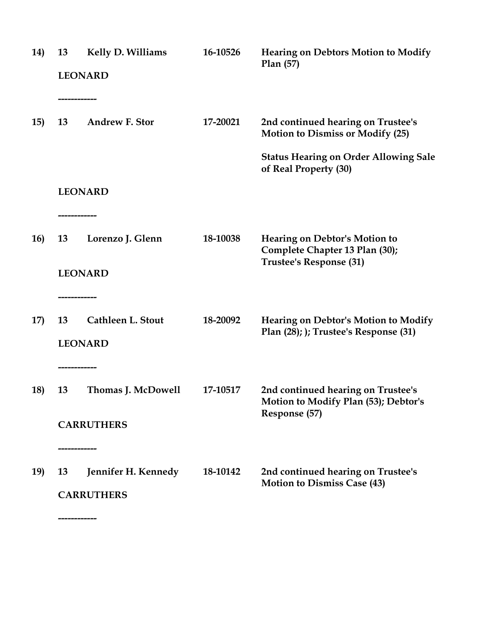| 14)        | 13<br>--------------- | Kelly D. Williams<br><b>LEONARD</b>                     | 16-10526 | <b>Hearing on Debtors Motion to Modify</b><br>Plan(57)                                                                        |
|------------|-----------------------|---------------------------------------------------------|----------|-------------------------------------------------------------------------------------------------------------------------------|
| 15)        | 13                    | <b>Andrew F. Stor</b>                                   | 17-20021 | 2nd continued hearing on Trustee's<br><b>Motion to Dismiss or Modify (25)</b><br><b>Status Hearing on Order Allowing Sale</b> |
|            |                       | <b>LEONARD</b>                                          |          | of Real Property (30)                                                                                                         |
| <b>16)</b> | 13                    | ---------<br>Lorenzo J. Glenn<br><b>LEONARD</b>         | 18-10038 | <b>Hearing on Debtor's Motion to</b><br>Complete Chapter 13 Plan (30);<br>Trustee's Response (31)                             |
| 17)        | ------------<br>13    | <b>Cathleen L. Stout</b><br><b>LEONARD</b>              | 18-20092 | <b>Hearing on Debtor's Motion to Modify</b><br>Plan (28); ); Trustee's Response (31)                                          |
| <b>18)</b> | ------------<br>13    | Thomas J. McDowell<br><b>CARRUTHERS</b>                 | 17-10517 | 2nd continued hearing on Trustee's<br><b>Motion to Modify Plan (53); Debtor's</b><br>Response (57)                            |
| 19)        | 13                    | -----------<br>Jennifer H. Kennedy<br><b>CARRUTHERS</b> | 18-10142 | 2nd continued hearing on Trustee's<br><b>Motion to Dismiss Case (43)</b>                                                      |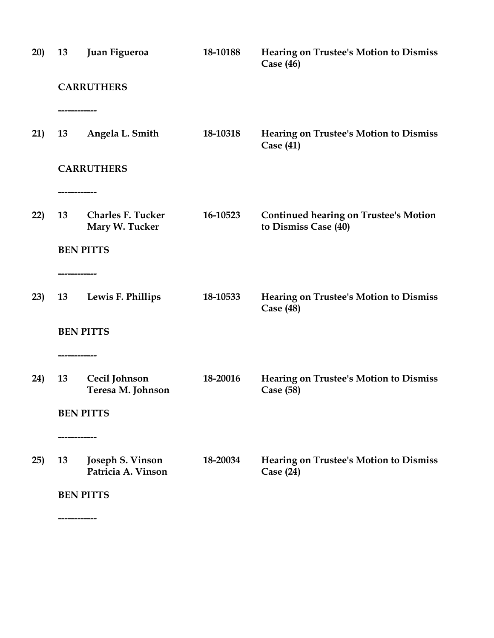| 20) | 13                 | Juan Figueroa                              | 18-10188 | <b>Hearing on Trustee's Motion to Dismiss</b><br>Case $(46)$         |
|-----|--------------------|--------------------------------------------|----------|----------------------------------------------------------------------|
|     |                    | <b>CARRUTHERS</b>                          |          |                                                                      |
| 21) | ------------<br>13 | Angela L. Smith                            | 18-10318 | <b>Hearing on Trustee's Motion to Dismiss</b><br>Case $(41)$         |
|     |                    | <b>CARRUTHERS</b>                          |          |                                                                      |
|     |                    |                                            |          |                                                                      |
| 22) | 13                 | <b>Charles F. Tucker</b><br>Mary W. Tucker | 16-10523 | <b>Continued hearing on Trustee's Motion</b><br>to Dismiss Case (40) |
|     |                    | <b>BEN PITTS</b>                           |          |                                                                      |
|     | -------------      |                                            |          |                                                                      |
| 23) | 13                 | Lewis F. Phillips                          | 18-10533 | <b>Hearing on Trustee's Motion to Dismiss</b><br>Case $(48)$         |
|     |                    | <b>BEN PITTS</b>                           |          |                                                                      |
|     | ---------------    |                                            |          |                                                                      |
| 24) | 13                 | Cecil Johnson<br>Teresa M. Johnson         | 18-20016 | <b>Hearing on Trustee's Motion to Dismiss</b><br>Case (58)           |
|     |                    | <b>BEN PITTS</b>                           |          |                                                                      |
|     | -------------      |                                            |          |                                                                      |
| 25) | 13                 | Joseph S. Vinson<br>Patricia A. Vinson     | 18-20034 | Hearing on Trustee's Motion to Dismiss<br>Case $(24)$                |
|     |                    | <b>BEN PITTS</b>                           |          |                                                                      |
|     |                    |                                            |          |                                                                      |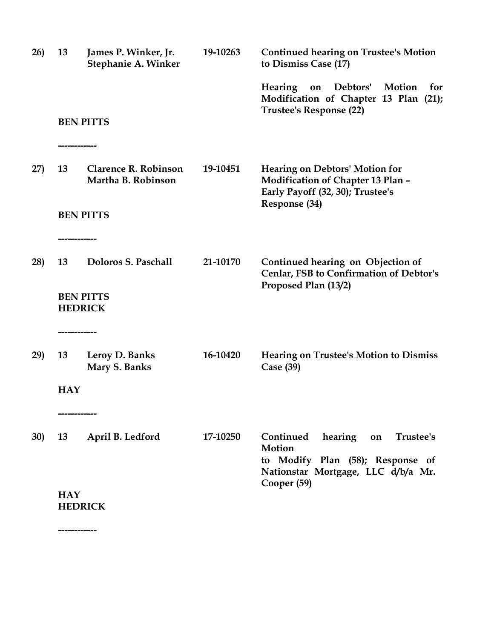| 26)        | 13                           | James P. Winker, Jr.<br><b>Stephanie A. Winker</b> | 19-10263 | <b>Continued hearing on Trustee's Motion</b><br>to Dismiss Case (17)                                                                       |
|------------|------------------------------|----------------------------------------------------|----------|--------------------------------------------------------------------------------------------------------------------------------------------|
|            |                              |                                                    |          | Debtors'<br>Motion<br>Hearing<br>for<br>on<br>Modification of Chapter 13 Plan (21);<br><b>Trustee's Response (22)</b>                      |
|            | -------------                | <b>BEN PITTS</b>                                   |          |                                                                                                                                            |
| 27)        | 13                           | <b>Clarence R. Robinson</b><br>Martha B. Robinson  | 19-10451 | <b>Hearing on Debtors' Motion for</b><br><b>Modification of Chapter 13 Plan -</b><br>Early Payoff (32, 30); Trustee's<br>Response (34)     |
|            | ------------                 | <b>BEN PITTS</b>                                   |          |                                                                                                                                            |
| 28)        | 13                           | Doloros S. Paschall                                | 21-10170 | Continued hearing on Objection of<br>Cenlar, FSB to Confirmation of Debtor's<br>Proposed Plan (13/2)                                       |
|            | <b>HEDRICK</b>               | <b>BEN PITTS</b>                                   |          |                                                                                                                                            |
| 29)        | 13                           | Leroy D. Banks<br>Mary S. Banks                    | 16-10420 | <b>Hearing on Trustee's Motion to Dismiss</b><br>Case (39)                                                                                 |
|            | <b>HAY</b>                   |                                                    |          |                                                                                                                                            |
| <b>30)</b> | 13                           | April B. Ledford                                   | 17-10250 | Continued<br>hearing<br>Trustee's<br>on<br>Motion<br>to Modify Plan (58); Response of<br>Nationstar Mortgage, LLC d/b/a Mr.<br>Cooper (59) |
|            | <b>HAY</b><br><b>HEDRICK</b> |                                                    |          |                                                                                                                                            |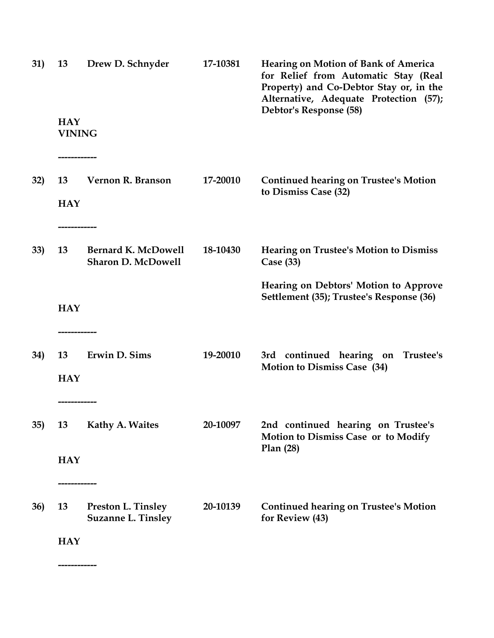| 31)        | 13                          | Drew D. Schnyder                                        | 17-10381 | <b>Hearing on Motion of Bank of America</b><br>for Relief from Automatic Stay (Real<br>Property) and Co-Debtor Stay or, in the<br>Alternative, Adequate Protection (57);<br>Debtor's Response (58) |
|------------|-----------------------------|---------------------------------------------------------|----------|----------------------------------------------------------------------------------------------------------------------------------------------------------------------------------------------------|
|            | <b>HAY</b><br><b>VINING</b> |                                                         |          |                                                                                                                                                                                                    |
| 32)        | 13<br><b>HAY</b>            | Vernon R. Branson                                       | 17-20010 | <b>Continued hearing on Trustee's Motion</b><br>to Dismiss Case (32)                                                                                                                               |
| 33)        | 13                          | <b>Bernard K. McDowell</b><br><b>Sharon D. McDowell</b> | 18-10430 | <b>Hearing on Trustee's Motion to Dismiss</b><br>Case $(33)$                                                                                                                                       |
|            | <b>HAY</b>                  |                                                         |          | Hearing on Debtors' Motion to Approve<br>Settlement (35); Trustee's Response (36)                                                                                                                  |
| 34)        | 13<br><b>HAY</b>            | Erwin D. Sims                                           | 19-20010 | 3rd continued hearing on Trustee's<br><b>Motion to Dismiss Case (34)</b>                                                                                                                           |
| 35)        | 13                          | Kathy A. Waites                                         | 20-10097 | 2nd continued hearing on Trustee's<br><b>Motion to Dismiss Case or to Modify</b><br>Plan(28)                                                                                                       |
|            | <b>HAY</b>                  |                                                         |          |                                                                                                                                                                                                    |
| <b>36)</b> | 13                          | <b>Preston L. Tinsley</b><br><b>Suzanne L. Tinsley</b>  | 20-10139 | <b>Continued hearing on Trustee's Motion</b><br>for Review (43)                                                                                                                                    |
|            | <b>HAY</b>                  |                                                         |          |                                                                                                                                                                                                    |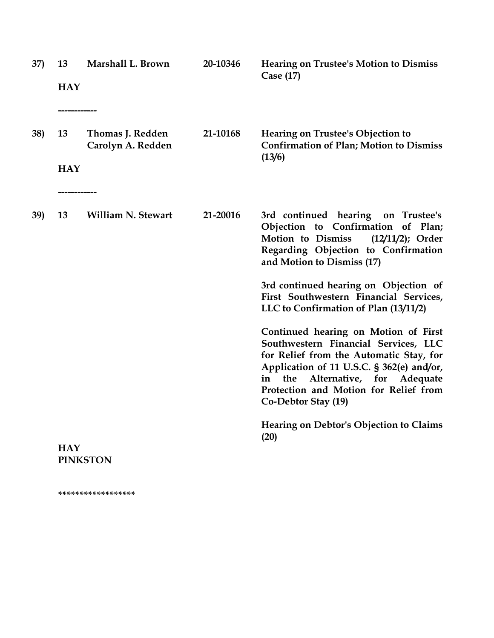| 37) | 13<br><b>HAY</b>          | Marshall L. Brown                     | 20-10346 | <b>Hearing on Trustee's Motion to Dismiss</b><br>Case $(17)$                                                                                                                                                                                                                   |
|-----|---------------------------|---------------------------------------|----------|--------------------------------------------------------------------------------------------------------------------------------------------------------------------------------------------------------------------------------------------------------------------------------|
|     |                           | ----------                            |          |                                                                                                                                                                                                                                                                                |
| 38) | 13                        | Thomas J. Redden<br>Carolyn A. Redden | 21-10168 | Hearing on Trustee's Objection to<br><b>Confirmation of Plan; Motion to Dismiss</b><br>(13/6)                                                                                                                                                                                  |
|     | <b>HAY</b><br>----------- |                                       |          |                                                                                                                                                                                                                                                                                |
| 39) | 13                        | <b>William N. Stewart</b>             | 21-20016 | 3rd continued hearing on Trustee's<br>Objection to Confirmation of Plan;<br>Motion to Dismiss<br>$(12/11/2)$ ; Order<br>Regarding Objection to Confirmation<br>and Motion to Dismiss (17)                                                                                      |
|     |                           |                                       |          | 3rd continued hearing on Objection of<br>First Southwestern Financial Services,<br>LLC to Confirmation of Plan (13/11/2)                                                                                                                                                       |
|     |                           |                                       |          | Continued hearing on Motion of First<br>Southwestern Financial Services, LLC<br>for Relief from the Automatic Stay, for<br>Application of 11 U.S.C. § 362(e) and/or,<br>the<br>Alternative, for Adequate<br>in<br>Protection and Motion for Relief from<br>Co-Debtor Stay (19) |
|     | <b>HAY</b>                | <b>PINKSTON</b>                       |          | Hearing on Debtor's Objection to Claims<br>(20)                                                                                                                                                                                                                                |

**\*\*\*\*\*\*\*\*\*\*\*\*\*\*\*\*\*\***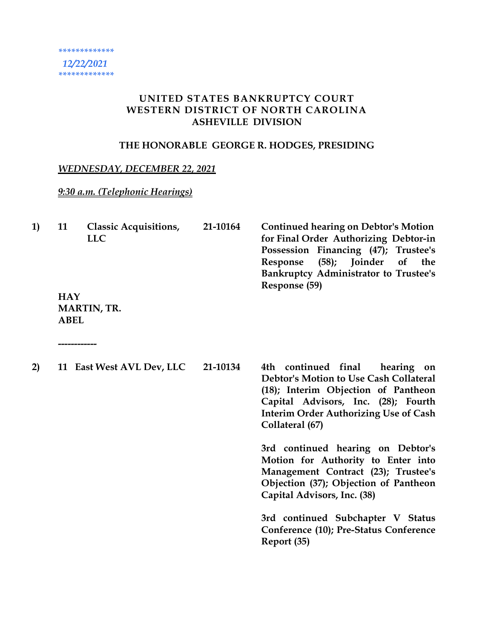### **UNITED STATES BANKRUPTCY COURT WESTERN DISTRICT OF NORTH CAROLINA ASHEVILLE DIVISION**

#### **THE HONORABLE GEORGE R. HODGES, PRESIDING**

#### *WEDNESDAY, DECEMBER 22, 2021*

## *9:30 a.m. (Telephonic Hearings)*

| <b>1</b> | 11         | <b>Classic Acquisitions,</b><br><b>LLC</b> | 21-10164 | <b>Continued hearing on Debtor's Motion</b><br>for Final Order Authorizing Debtor-in<br>Possession Financing (47); Trustee's<br>(58); Joinder of the<br>Response<br><b>Bankruptcy Administrator to Trustee's</b> |
|----------|------------|--------------------------------------------|----------|------------------------------------------------------------------------------------------------------------------------------------------------------------------------------------------------------------------|
|          | <b>HAY</b> | <b>MARTIN, TR.</b>                         |          | Response (59)                                                                                                                                                                                                    |

**ABEL**

| 2) | 11 East West AVL Dev, LLC | 21-10134 | 4th continued final<br>hearing on<br>Debtor's Motion to Use Cash Collateral<br>(18); Interim Objection of Pantheon<br>Capital Advisors, Inc. (28); Fourth<br><b>Interim Order Authorizing Use of Cash</b><br>Collateral (67) |  |  |
|----|---------------------------|----------|------------------------------------------------------------------------------------------------------------------------------------------------------------------------------------------------------------------------------|--|--|
|    |                           |          | 3rd continued hearing on Debtor's<br>Motion for Authority to Enter into<br>Management Contract (23); Trustee's<br>Objection (37); Objection of Pantheon<br>Capital Advisors, Inc. (38)                                       |  |  |
|    |                           |          | 3rd continued Subchapter V Status<br>Conference (10); Pre-Status Conference<br>Report (35)                                                                                                                                   |  |  |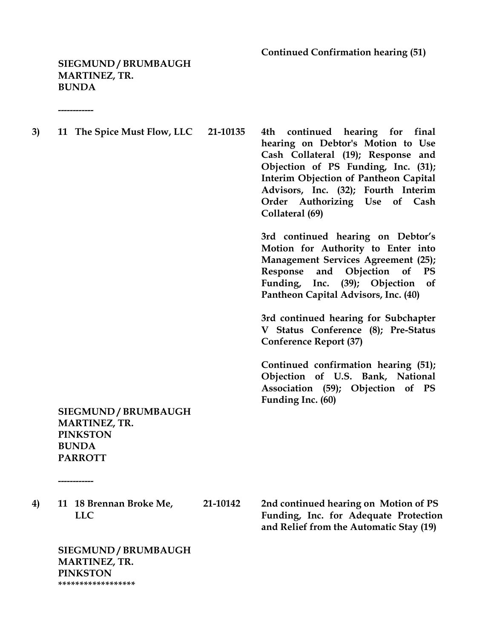**Continued Confirmation hearing (51)**

**SIEGMUND / BRUMBAUGH MARTINEZ, TR. BUNDA**

**------------**

**3) 11 The Spice Must Flow, LLC 21-10135 4th continued hearing for final** 

**hearing on Debtor's Motion to Use Cash Collateral (19); Response and Objection of PS Funding, Inc. (31); Interim Objection of Pantheon Capital Advisors, Inc. (32); Fourth Interim Order Authorizing Use of Cash Collateral (69)**

**3rd continued hearing on Debtor's Motion for Authority to Enter into Management Services Agreement (25); Response and Objection of PS Funding, Inc. (39); Objection of Pantheon Capital Advisors, Inc. (40)** 

**3rd continued hearing for Subchapter V Status Conference (8); Pre-Status Conference Report (37)**

**Continued confirmation hearing (51); Objection of U.S. Bank, National Association (59); Objection of PS Funding Inc. (60)**

**SIEGMUND / BRUMBAUGH MARTINEZ, TR. PINKSTON BUNDA PARROTT**

**------------**

**4) 11 18 Brennan Broke Me, 21-10142 2nd continued hearing on Motion of PS** 

 **LLC Funding, Inc. for Adequate Protection and Relief from the Automatic Stay (19)**

**SIEGMUND / BRUMBAUGH MARTINEZ, TR. PINKSTON \*\*\*\*\*\*\*\*\*\*\*\*\*\*\*\*\*\***